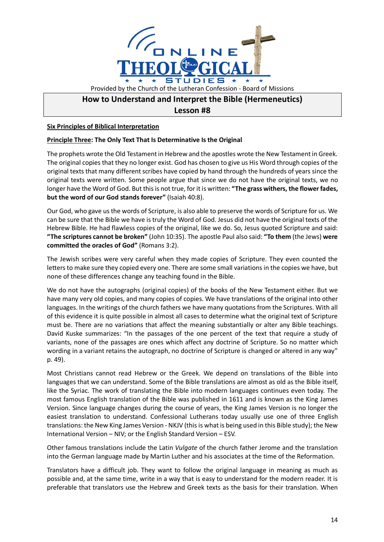

## **How to Understand and Interpret the Bible (Hermeneutics)**

**Lesson #8**

**Six Principles of Biblical Interpretation**

## **Principle Three: The Only Text That Is Determinative Is the Original**

The prophets wrote the Old Testament in Hebrew and the apostles wrote the New Testament in Greek. The original copies that they no longer exist. God has chosen to give us His Word through copies of the original texts that many different scribes have copied by hand through the hundreds of years since the original texts were written. Some people argue that since we do not have the original texts, we no longer have the Word of God. But this is not true, for it is written: **"The grass withers, the flower fades, but the word of our God stands forever"** (Isaiah 40:8).

Our God, who gave us the words of Scripture, is also able to preserve the words of Scripture for us. We can be sure that the Bible we have is truly the Word of God. Jesus did not have the original texts of the Hebrew Bible. He had flawless copies of the original, like we do. So, Jesus quoted Scripture and said: **"The scriptures cannot be broken"** (John 10:35). The apostle Paul also said: **"To them** (the Jews) **were committed the oracles of God"** (Romans 3:2).

The Jewish scribes were very careful when they made copies of Scripture. They even counted the letters to make sure they copied every one. There are some small variations in the copies we have, but none of these differences change any teaching found in the Bible.

We do not have the autographs (original copies) of the books of the New Testament either. But we have many very old copies, and many copies of copies. We have translations of the original into other languages. In the writings of the church fathers we have many quotations from the Scriptures. With all of this evidence it is quite possible in almost all cases to determine what the original text of Scripture must be. There are no variations that affect the meaning substantially or alter any Bible teachings. David Kuske summarizes: "In the passages of the one percent of the text that require a study of variants, none of the passages are ones which affect any doctrine of Scripture. So no matter which wording in a variant retains the autograph, no doctrine of Scripture is changed or altered in any way" p. 49).

Most Christians cannot read Hebrew or the Greek. We depend on translations of the Bible into languages that we can understand. Some of the Bible translations are almost as old as the Bible itself, like the Syriac. The work of translating the Bible into modern languages continues even today. The most famous English translation of the Bible was published in 1611 and is known as the King James Version. Since language changes during the course of years, the King James Version is no longer the easiest translation to understand. Confessional Lutherans today usually use one of three English translations: the New King James Version - NKJV (this is what is being used in this Bible study); the New International Version – NIV; or the English Standard Version – ESV.

Other famous translations include the Latin *Vulgate* of the church father Jerome and the translation into the German language made by Martin Luther and his associates at the time of the Reformation.

Translators have a difficult job. They want to follow the original language in meaning as much as possible and, at the same time, write in a way that is easy to understand for the modern reader. It is preferable that translators use the Hebrew and Greek texts as the basis for their translation. When